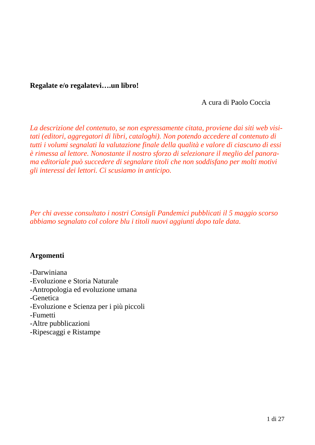## **Regalate e/o regalatevi….un libro!**

A cura di Paolo Coccia

*La descrizione del contenuto, se non espressamente citata, proviene dai siti web visitati (editori, aggregatori di libri, cataloghi). Non potendo accedere al contenuto di tutti i volumi segnalati la valutazione finale della qualità e valore di ciascuno di essi è rimessa al lettore. Nonostante il nostro sforzo di selezionare il meglio del panorama editoriale può succedere di segnalare titoli che non soddisfano per molti motivi gli interessi dei lettori. Ci scusiamo in anticipo.*

*Per chi avesse consultato i nostri Consigli Pandemici pubblicati il 5 maggio scorso abbiamo segnalato col colore blu i titoli nuovi aggiunti dopo tale data.*

## **Argomenti**

- -Darwiniana
- -Evoluzione e Storia Naturale
- -Antropologia ed evoluzione umana
- -Genetica
- -Evoluzione e Scienza per i più piccoli
- -Fumetti
- -Altre pubblicazioni
- -Ripescaggi e Ristampe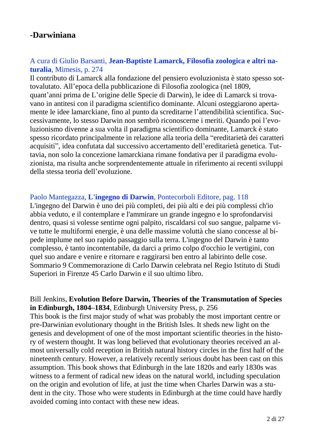# **-Darwiniana**

# A cura di Giulio Barsanti, **Jean-Baptiste Lamarck, Filosofia zoologica e altri naturalia**, Mimesis, p. 274

Il contributo di Lamarck alla fondazione del pensiero evoluzionista è stato spesso sottovalutato. All'epoca della pubblicazione di Filosofia zoologica (nel 1809, quant'anni prima de L'origine delle Specie di Darwin), le idee di Lamarck si trovavano in antitesi con il paradigma scientifico dominante. Alcuni osteggiarono apertamente le idee lamarckiane, fino al punto da screditarne l'attendibilità scientifica. Successivamente, lo stesso Darwin non sembrò riconoscerne i meriti. Quando poi l'evoluzionismo divenne a sua volta il paradigma scientifico dominante, Lamarck è stato spesso ricordato principalmente in relazione alla teoria della "ereditarietà dei caratteri acquisiti", idea confutata dal successivo accertamento dell'ereditarietà genetica. Tuttavia, non solo la concezione lamarckiana rimane fondativa per il paradigma evoluzionista, ma risulta anche sorprendentemente attuale in riferimento ai recenti sviluppi della stessa teoria dell'evoluzione.

#### Paolo Mantegazza, **L'ingegno di Darwin**, Pontecorboli Editore, pag. 118

L'ingegno del Darwin è uno dei più completi, dei più alti e dei più complessi ch'io abbia veduto, e il contemplare e l'ammirare un grande ingegno e lo sprofondarvisi dentro, quasi si volesse sentirne ogni palpito, riscaldarsi col suo sangue, palparne vive tutte le multiformi energie, è una delle massime voluttà che siano concesse al bipede implume nel suo rapido passaggio sulla terra. L'ingegno del Darwin è tanto complesso, è tanto incontentabile, da darci a primo colpo d'occhio le vertigini, con quel suo andare e venire e ritornare e raggirarsi ben entro al labirinto delle cose. Sommario 9 Commemorazione di Carlo Darwin celebrata nel Regio Istituto di Studi Superiori in Firenze 45 Carlo Darwin e il suo ultimo libro.

Bill Jenkins, **Evolution Before Darwin, Theories of the Transmutation of Species in Edinburgh, 1804–1834**, Edinburgh University Press, p. 256 This book is the first major study of what was probably the most important centre or pre-Darwinian evolutionary thought in the British Isles. It sheds new light on the genesis and development of one of the most important scientific theories in the history of western thought. It was long believed that evolutionary theories received an almost universally cold reception in British natural history circles in the first half of the nineteenth century. However, a relatively recently serious doubt has been cast on this assumption. This book shows that Edinburgh in the late 1820s and early 1830s was witness to a ferment of radical new ideas on the natural world, including speculation on the origin and evolution of life, at just the time when Charles Darwin was a student in the city. Those who were students in Edinburgh at the time could have hardly avoided coming into contact with these new ideas.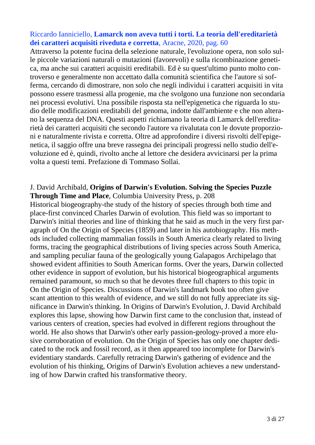# Riccardo Ianniciello, **Lamarck non aveva tutti i torti. La teoria dell'ereditarietà dei caratteri acquisiti riveduta e corretta**, Aracne, 2020, pag. 60

Attraverso la potente fucina della selezione naturale, l'evoluzione opera, non solo sulle piccole variazioni naturali o mutazioni (favorevoli) e sulla ricombinazione genetica, ma anche sui caratteri acquisiti ereditabili. Ed è su quest'ultimo punto molto controverso e generalmente non accettato dalla comunità scientifica che l'autore si sofferma, cercando di dimostrare, non solo che negli individui i caratteri acquisiti in vita possono essere trasmessi alla progenie, ma che svolgono una funzione non secondaria nei processi evolutivi. Una possibile risposta sta nell'epigenetica che riguarda lo studio delle modificazioni ereditabili del genoma, indotte dall'ambiente e che non alterano la sequenza del DNA. Questi aspetti richiamano la teoria di Lamarck dell'ereditarietà dei caratteri acquisiti che secondo l'autore va rivalutata con le dovute proporzioni e naturalmente rivista e corretta. Oltre ad approfondire i diversi risvolti dell'epigenetica, il saggio offre una breve rassegna dei principali progressi nello studio dell'evoluzione ed è, quindi, rivolto anche al lettore che desidera avvicinarsi per la prima volta a questi temi. Prefazione di Tommaso Sollai.

#### J. David Archibald, **Origins of Darwin's Evolution. Solving the Species Puzzle Through Time and Place**, Columbia University Press, p. 208

Historical biogeography-the study of the history of species through both time and place-first convinced Charles Darwin of evolution. This field was so important to Darwin's initial theories and line of thinking that he said as much in the very first paragraph of On the Origin of Species (1859) and later in his autobiography. His methods included collecting mammalian fossils in South America clearly related to living forms, tracing the geographical distributions of living species across South America, and sampling peculiar fauna of the geologically young Galapagos Archipelago that showed evident affinities to South American forms. Over the years, Darwin collected other evidence in support of evolution, but his historical biogeographical arguments remained paramount, so much so that he devotes three full chapters to this topic in On the Origin of Species. Discussions of Darwin's landmark book too often give scant attention to this wealth of evidence, and we still do not fully appreciate its significance in Darwin's thinking. In Origins of Darwin's Evolution, J. David Archibald explores this lapse, showing how Darwin first came to the conclusion that, instead of various centers of creation, species had evolved in different regions throughout the world. He also shows that Darwin's other early passion-geology-proved a more elusive corroboration of evolution. On the Origin of Species has only one chapter dedicated to the rock and fossil record, as it then appeared too incomplete for Darwin's evidentiary standards. Carefully retracing Darwin's gathering of evidence and the evolution of his thinking, Origins of Darwin's Evolution achieves a new understanding of how Darwin crafted his transformative theory.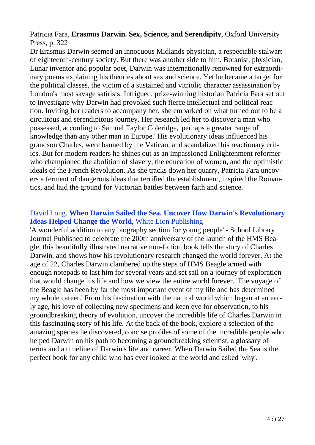Patricia Fara, **Erasmus Darwin. Sex, Science, and Serendipity**, Oxford University Press, p. 322

Dr Erasmus Darwin seemed an innocuous Midlands physician, a respectable stalwart of eighteenth-century society. But there was another side to him. Botanist, physician, Lunar inventor and popular poet, Darwin was internationally renowned for extraordinary poems explaining his theories about sex and science. Yet he became a target for the political classes, the victim of a sustained and vitriolic character assassination by London's most savage satirists. Intrigued, prize-winning historian Patricia Fara set out to investigate why Darwin had provoked such fierce intellectual and political reaction. Inviting her readers to accompany her, she embarked on what turned out to be a circuitous and serendipitous journey. Her research led her to discover a man who possessed, according to Samuel Taylor Coleridge, 'perhaps a greater range of knowledge than any other man in Europe.' His evolutionary ideas influenced his grandson Charles, were banned by the Vatican, and scandalized his reactionary critics. But for modern readers he shines out as an impassioned Enlightenment reformer who championed the abolition of slavery, the education of women, and the optimistic ideals of the French Revolution. As she tracks down her quarry, Patricia Fara uncovers a ferment of dangerous ideas that terrified the establishment, inspired the Romantics, and laid the ground for Victorian battles between faith and science.

#### David Long, **When Darwin Sailed the Sea. Uncover How Darwin's Revolutionary Ideas Helped Change the World**, White Lion Publishing

'A wonderful addition to any biography section for young people' - School Library Journal Published to celebrate the 200th anniversary of the launch of the HMS Beagle, this beautifully illustrated narrative non-fiction book tells the story of Charles Darwin, and shows how his revolutionary research changed the world forever. At the age of 22, Charles Darwin clambered up the steps of HMS Beagle armed with enough notepads to last him for several years and set sail on a journey of exploration that would change his life and how we view the entire world forever. 'The voyage of the Beagle has been by far the most important event of my life and has determined my whole career.' From his fascination with the natural world which began at an early age, his love of collecting new specimens and keen eye for observation, to his groundbreaking theory of evolution, uncover the incredible life of Charles Darwin in this fascinating story of his life. At the back of the book, explore a selection of the amazing species he discovered, concise profiles of some of the incredible people who helped Darwin on his path to becoming a groundbreaking scientist, a glossary of terms and a timeline of Darwin's life and career. When Darwin Sailed the Sea is the perfect book for any child who has ever looked at the world and asked 'why'.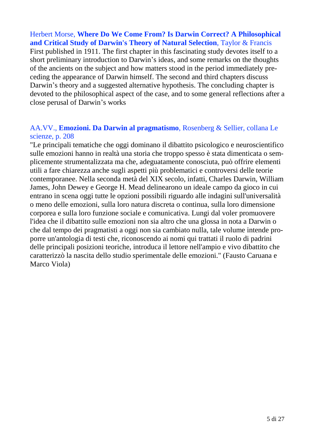Herbert Morse, **Where Do We Come From? Is Darwin Correct? A Philosophical and Critical Study of Darwin's Theory of Natural Selection**, Taylor & Francis First published in 1911. The first chapter in this fascinating study devotes itself to a short preliminary introduction to Darwin's ideas, and some remarks on the thoughts of the ancients on the subject and how matters stood in the period immediately preceding the appearance of Darwin himself. The second and third chapters discuss Darwin's theory and a suggested alternative hypothesis. The concluding chapter is devoted to the philosophical aspect of the case, and to some general reflections after a close perusal of Darwin's works

## AA.VV., **Emozioni. Da Darwin al pragmatismo**, Rosenberg & Sellier, collana Le scienze, p. 208

"Le principali tematiche che oggi dominano il dibattito psicologico e neuroscientifico sulle emozioni hanno in realtà una storia che troppo spesso è stata dimenticata o semplicemente strumentalizzata ma che, adeguatamente conosciuta, può offrire elementi utili a fare chiarezza anche sugli aspetti più problematici e controversi delle teorie contemporanee. Nella seconda metà del XIX secolo, infatti, Charles Darwin, William James, John Dewey e George H. Mead delinearono un ideale campo da gioco in cui entrano in scena oggi tutte le opzioni possibili riguardo alle indagini sull'universalità o meno delle emozioni, sulla loro natura discreta o continua, sulla loro dimensione corporea e sulla loro funzione sociale e comunicativa. Lungi dal voler promuovere l'idea che il dibattito sulle emozioni non sia altro che una glossa in nota a Darwin o che dal tempo dei pragmatisti a oggi non sia cambiato nulla, tale volume intende proporre un'antologia di testi che, riconoscendo ai nomi qui trattati il ruolo di padrini delle principali posizioni teoriche, introduca il lettore nell'ampio e vivo dibattito che caratterizzò la nascita dello studio sperimentale delle emozioni." (Fausto Caruana e Marco Viola)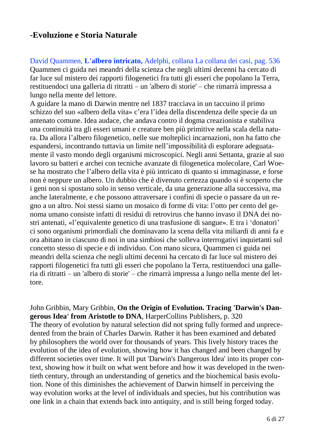# **-Evoluzione e Storia Naturale**

David Quammen, **L'albero intricato,** Adelphi, collana La collana dei casi, pag. 536 Quammen ci guida nei meandri della scienza che negli ultimi decenni ha cercato di far luce sul mistero dei rapporti filogenetici fra tutti gli esseri che popolano la Terra, restituendoci una galleria di ritratti – un 'albero di storie' – che rimarrà impressa a lungo nella mente del lettore.

A guidare la mano di Darwin mentre nel 1837 tracciava in un taccuino il primo schizzo del suo «albero della vita» c'era l'idea della discendenza delle specie da un antenato comune. Idea audace, che andava contro il dogma creazionista e stabiliva una continuità tra gli esseri umani e creature ben più primitive nella scala della natura. Da allora l'albero filogenetico, nelle sue molteplici incarnazioni, non ha fatto che espandersi, incontrando tuttavia un limite nell'impossibilità di esplorare adeguatamente il vasto mondo degli organismi microscopici. Negli anni Settanta, grazie al suo lavoro su batteri e archei con tecniche avanzate di filogenetica molecolare, Carl Woese ha mostrato che l'albero della vita è più intricato di quanto si immaginasse, e forse non è neppure un albero. Un dubbio che è divenuto certezza quando si è scoperto che i geni non si spostano solo in senso verticale, da una generazione alla successiva, ma anche lateralmente, e che possono attraversare i confini di specie o passare da un regno a un altro. Noi stessi siamo un mosaico di forme di vita: l'otto per cento del genoma umano consiste infatti di residui di retrovirus che hanno invaso il DNA dei nostri antenati, «l'equivalente genetico di una trasfusione di sangue». E tra i 'donatori' ci sono organismi primordiali che dominavano la scena della vita miliardi di anni fa e ora abitano in ciascuno di noi in una simbiosi che solleva interrogativi inquietanti sul concetto stesso di specie e di individuo. Con mano sicura, Quammen ci guida nei meandri della scienza che negli ultimi decenni ha cercato di far luce sul mistero dei rapporti filogenetici fra tutti gli esseri che popolano la Terra, restituendoci una galleria di ritratti – un 'albero di storie' – che rimarrà impressa a lungo nella mente del lettore.

John Gribbin, Mary Gribbin, **On the Origin of Evolution. Tracing 'Darwin's Dangerous Idea' from Aristotle to DNA**, HarperCollins Publishers, p. 320 The theory of evolution by natural selection did not spring fully formed and unprecedented from the brain of Charles Darwin. Rather it has been examined and debated by philosophers the world over for thousands of years. This lively history traces the evolution of the idea of evolution, showing how it has changed and been changed by different societies over time. It will put 'Darwin's Dangerous Idea' into its proper context, showing how it built on what went before and how it was developed in the twentieth century, through an understanding of genetics and the biochemical basis evolution. None of this diminishes the achievement of Darwin himself in perceiving the way evolution works at the level of individuals and species, but his contribution was one link in a chain that extends back into antiquity, and is still being forged today.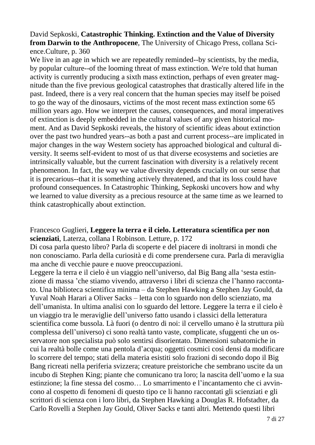# David Sepkoski, **Catastrophic Thinking. Extinction and the Value of Diversity from Darwin to the Anthropocene**, The University of Chicago Press, collana Science.Culture, p. 360

We live in an age in which we are repeatedly reminded--by scientists, by the media, by popular culture--of the looming threat of mass extinction. We're told that human activity is currently producing a sixth mass extinction, perhaps of even greater magnitude than the five previous geological catastrophes that drastically altered life in the past. Indeed, there is a very real concern that the human species may itself be poised to go the way of the dinosaurs, victims of the most recent mass extinction some 65 million years ago. How we interpret the causes, consequences, and moral imperatives of extinction is deeply embedded in the cultural values of any given historical moment. And as David Sepkoski reveals, the history of scientific ideas about extinction over the past two hundred years--as both a past and current process--are implicated in major changes in the way Western society has approached biological and cultural diversity. It seems self-evident to most of us that diverse ecosystems and societies are intrinsically valuable, but the current fascination with diversity is a relatively recent phenomenon. In fact, the way we value diversity depends crucially on our sense that it is precarious--that it is something actively threatened, and that its loss could have profound consequences. In Catastrophic Thinking, Sepkoski uncovers how and why we learned to value diversity as a precious resource at the same time as we learned to think catastrophically about extinction.

## Francesco Guglieri, **Leggere la terra e il cielo. Letteratura scientifica per non scienziati**, Laterza, collana I Robinson. Letture, p. 172

Di cosa parla questo libro? Parla di scoperte e del piacere di inoltrarsi in mondi che non conosciamo. Parla della curiosità e di come prendersene cura. Parla di meraviglia ma anche di vecchie paure e nuove preoccupazioni.

Leggere la terra e il cielo è un viaggio nell'universo, dal Big Bang alla 'sesta estinzione di massa 'che stiamo vivendo, attraverso i libri di scienza che l'hanno raccontato. Una biblioteca scientifica minima – da Stephen Hawking a Stephen Jay Gould, da Yuval Noah Harari a Oliver Sacks – letta con lo sguardo non dello scienziato, ma dell'umanista. In ultima analisi con lo sguardo del lettore. Leggere la terra e il cielo è un viaggio tra le meraviglie dell'universo fatto usando i classici della letteratura scientifica come bussola. Là fuori (o dentro di noi: il cervello umano è la struttura più complessa dell'universo) ci sono realtà tanto vaste, complicate, sfuggenti che un osservatore non specialista può solo sentirsi disorientato. Dimensioni subatomiche in cui la realtà bolle come una pentola d'acqua; oggetti cosmici così densi da modificare lo scorrere del tempo; stati della materia esistiti solo frazioni di secondo dopo il Big Bang ricreati nella periferia svizzera; creature preistoriche che sembrano uscite da un incubo di Stephen King; piante che comunicano tra loro; la nascita dell'uomo e la sua estinzione; la fine stessa del cosmo… Lo smarrimento e l'incantamento che ci avvincono al cospetto di fenomeni di questo tipo ce li hanno raccontati gli scienziati e gli scrittori di scienza con i loro libri, da Stephen Hawking a Douglas R. Hofstadter, da Carlo Rovelli a Stephen Jay Gould, Oliver Sacks e tanti altri. Mettendo questi libri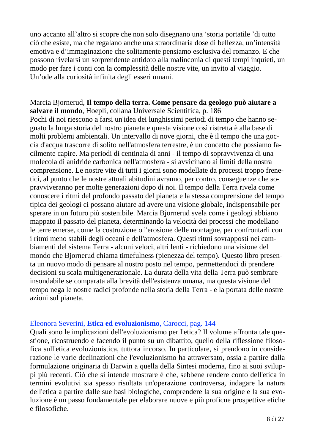uno accanto all'altro si scopre che non solo disegnano una 'storia portatile 'di tutto ciò che esiste, ma che regalano anche una straordinaria dose di bellezza, un'intensità emotiva e d'immaginazione che solitamente pensiamo esclusiva del romanzo. E che possono rivelarsi un sorprendente antidoto alla malinconia di questi tempi inquieti, un modo per fare i conti con la complessità delle nostre vite, un invito al viaggio. Un'ode alla curiosità infinita degli esseri umani.

Marcia Bjornerud, **Il tempo della terra. Come pensare da geologo può aiutare a salvare il mondo**, Hoepli, collana Universale Scientifica, p. 186 Pochi di noi riescono a farsi un'idea dei lunghissimi periodi di tempo che hanno segnato la lunga storia del nostro pianeta e questa visione così ristretta è alla base di molti problemi ambientali. Un intervallo di nove giorni, che è il tempo che una goccia d'acqua trascorre di solito nell'atmosfera terrestre, è un concetto che possiamo facilmente capire. Ma periodi di centinaia di anni - il tempo di sopravvivenza di una molecola di anidride carbonica nell'atmosfera - si avvicinano ai limiti della nostra comprensione. Le nostre vite di tutti i giorni sono modellate da processi troppo frenetici, al punto che le nostre attuali abitudini avranno, per contro, conseguenze che sopravviveranno per molte generazioni dopo di noi. Il tempo della Terra rivela come conoscere i ritmi del profondo passato del pianeta e la stessa comprensione del tempo tipica dei geologi ci possano aiutare ad avere una visione globale, indispensabile per sperare in un futuro più sostenibile. Marcia Bjornerud svela come i geologi abbiano mappato il passato del pianeta, determinando la velocità dei processi che modellano le terre emerse, come la costruzione o l'erosione delle montagne, per confrontarli con i ritmi meno stabili degli oceani e dell'atmosfera. Questi ritmi sovrapposti nei cambiamenti del sistema Terra - alcuni veloci, altri lenti - richiedono una visione del mondo che Bjornerud chiama timefulness (pienezza del tempo). Questo libro presenta un nuovo modo di pensare al nostro posto nel tempo, permettendoci di prendere decisioni su scala multigenerazionale. La durata della vita della Terra può sembrare insondabile se comparata alla brevità dell'esistenza umana, ma questa visione del tempo nega le nostre radici profonde nella storia della Terra - e la portata delle nostre azioni sul pianeta.

## Eleonora Severini, **Etica ed evoluzionismo**, Carocci, pag. 144

Quali sono le implicazioni dell'evoluzionismo per l'etica? Il volume affronta tale questione, ricostruendo e facendo il punto su un dibattito, quello della riflessione filosofica sull'etica evoluzionistica, tuttora incorso. In particolare, si prendono in considerazione le varie declinazioni che l'evoluzionismo ha attraversato, ossia a partire dalla formulazione originaria di Darwin a quella della Sintesi moderna, fino ai suoi sviluppi più recenti. Ciò che si intende mostrare è che, sebbene rendere conto dell'etica in termini evolutivi sia spesso risultata un'operazione controversa, indagare la natura dell'etica a partire dalle sue basi biologiche, comprendere la sua origine e la sua evoluzione è un passo fondamentale per elaborare nuove e più proficue prospettive etiche e filosofiche.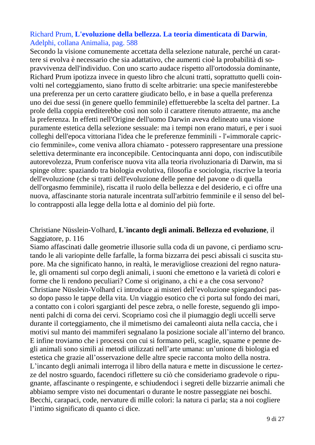# Richard Prum, **L'evoluzione della bellezza. La teoria dimenticata di Darwin**, Adelphi, collana Animalia, pag. 588

Secondo la visione comunemente accettata della selezione naturale, perché un carattere si evolva è necessario che sia adattativo, che aumenti cioè la probabilità di sopravvivenza dell'individuo. Con uno scarto audace rispetto all'ortodossia dominante, Richard Prum ipotizza invece in questo libro che alcuni tratti, soprattutto quelli coinvolti nel corteggiamento, siano frutto di scelte arbitrarie: una specie manifesterebbe una preferenza per un certo carattere giudicato bello, e in base a quella preferenza uno dei due sessi (in genere quello femminile) effettuerebbe la scelta del partner. La prole della coppia erediterebbe così non solo il carattere ritenuto attraente, ma anche la preferenza. In effetti nell'Origine dell'uomo Darwin aveva delineato una visione puramente estetica della selezione sessuale: ma i tempi non erano maturi, e per i suoi colleghi dell'epoca vittoriana l'idea che le preferenze femminili - l'«immorale capriccio femminile», come veniva allora chiamato - potessero rappresentare una pressione selettiva determinante era inconcepibile. Centocinquanta anni dopo, con indiscutibile autorevolezza, Prum conferisce nuova vita alla teoria rivoluzionaria di Darwin, ma si spinge oltre: spaziando tra biologia evolutiva, filosofia e sociologia, riscrive la teoria dell'evoluzione (che si tratti dell'evoluzione delle penne del pavone o di quella dell'orgasmo femminile), riscatta il ruolo della bellezza e del desiderio, e ci offre una nuova, affascinante storia naturale incentrata sull'arbitrio femminile e il senso del bello contrapposti alla legge della lotta e al dominio del più forte.

## Christiane Nüsslein-Volhard, **L**'**incanto degli animali. Bellezza ed evoluzione**, il Saggiatore, p. 116

Siamo affascinati dalle geometrie illusorie sulla coda di un pavone, ci perdiamo scrutando le ali variopinte delle farfalle, la forma bizzarra dei pesci abissali ci suscita stupore. Ma che significato hanno, in realtà, le meravigliose creazioni del regno naturale, gli ornamenti sul corpo degli animali, i suoni che emettono e la varietà di colori e forme che li rendono peculiari? Come si originano, a chi e a che cosa servono? Christiane Nüsslein-Volhard ci introduce ai misteri dell'evoluzione spiegandoci passo dopo passo le tappe della vita. Un viaggio esotico che ci porta sul fondo dei mari, a contatto con i colori sgargianti del pesce zebra, o nelle foreste, seguendo gli imponenti palchi di corna dei cervi. Scopriamo così che il piumaggio degli uccelli serve durante il corteggiamento, che il mimetismo dei camaleonti aiuta nella caccia, che i motivi sul manto dei mammiferi segnalano la posizione sociale all'interno del branco. E infine troviamo che i processi con cui si formano peli, scaglie, squame e penne degli animali sono simili ai metodi utilizzati nell'arte umana: un'unione di biologia ed estetica che grazie all'osservazione delle altre specie racconta molto della nostra. L'incanto degli animali interroga il libro della natura e mette in discussione le certezze del nostro sguardo, facendoci riflettere su ciò che consideriamo gradevole o ripugnante, affascinante o respingente, e schiudendoci i segreti delle bizzarrie animali che abbiamo sempre visto nei documentari o durante le nostre passeggiate nei boschi. Becchi, carapaci, code, nervature di mille colori: la natura ci parla; sta a noi cogliere l'intimo significato di quanto ci dice.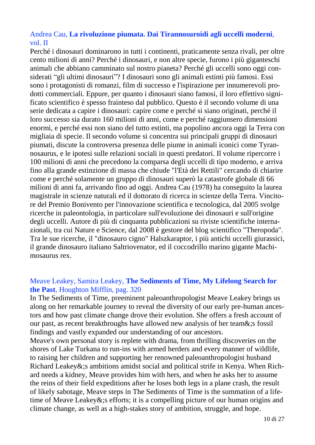# Andrea Cau, **La rivoluzione piumata. Dai Tirannosuroidi agli uccelli moderni**, vol. II

Perché i dinosauri dominarono in tutti i continenti, praticamente senza rivali, per oltre cento milioni di anni? Perché i dinosauri, e non altre specie, furono i più giganteschi animali che abbiano camminato sul nostro pianeta? Perché gli uccelli sono oggi considerati "gli ultimi dinosauri"? I dinosauri sono gli animali estinti più famosi. Essi sono i protagonisti di romanzi, film di successo e l'ispirazione per innumerevoli prodotti commerciali. Eppure, per quanto i dinosauri siano famosi, il loro effettivo significato scientifico è spesso frainteso dal pubblico. Questo è il secondo volume di una serie dedicata a capire i dinosauri: capire come e perché si siano originati, perché il loro successo sia durato 160 milioni di anni, come e perché raggiunsero dimensioni enormi, e perché essi non siano del tutto estinti, ma popolino ancora oggi la Terra con migliaia di specie. Il secondo volume si concentra sui principali gruppi di dinosauri piumati, discute la controversa presenza delle piume in animali iconici come Tyrannosaurus, e le ipotesi sulle relazioni sociali in questi predatori. Il volume ripercorre i 100 milioni di anni che precedono la comparsa degli uccelli di tipo moderno, e arriva fino alla grande estinzione di massa che chiude "l'Età dei Rettili" cercando di chiarire come e perché solamente un gruppo di dinosauri superò la catastrofe globale di 66 milioni di anni fa, arrivando fino ad oggi. Andrea Cau (1978) ha conseguito la laurea magistrale in scienze naturali ed il dottorato di ricerca in scienze della Terra. Vincitore del Premio Bonivento per l'innovazione scientifica e tecnologica, dal 2005 svolge ricerche in paleontologia, in particolare sull'evoluzione dei dinosauri e sull'origine degli uccelli. Autore di più di cinquanta pubblicazioni su riviste scientifiche internazionali, tra cui Nature e Science, dal 2008 è gestore del blog scientifico "Theropoda". Tra le sue ricerche, il "dinosauro cigno" Halszkaraptor, i più antichi uccelli giurassici, il grande dinosauro italiano Saltriovenator, ed il coccodrillo marino gigante Machimosaurus rex.

# Meave Leakey, Samira Leakey, **The Sediments of Time, My Lifelong Search for the Past**, Houghton Mifflin, pag. 320

In The Sediments of Time, preeminent paleoanthropologist Meave Leakey brings us along on her remarkable journey to reveal the diversity of our early pre-human ancestors and how past climate change drove their evolution. She offers a fresh account of our past, as recent breakthroughs have allowed new analysis of her team&;s fossil findings and vastly expanded our understanding of our ancestors.

Meave's own personal story is replete with drama, from thrilling discoveries on the shores of Lake Turkana to run-ins with armed herders and every manner of wildlife, to raising her children and supporting her renowned paleoanthropologist husband Richard Leakey&;s ambitions amidst social and political strife in Kenya. When Richard needs a kidney, Meave provides him with hers, and when he asks her to assume the reins of their field expeditions after he loses both legs in a plane crash, the result of likely sabotage, Meave steps in The Sediments of Time is the summation of a lifetime of Meave Leakey&;s efforts; it is a compelling picture of our human origins and climate change, as well as a high-stakes story of ambition, struggle, and hope.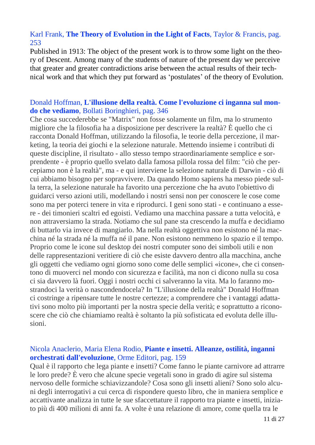# Karl Frank, **The Theory of Evolution in the Light of Facts**, Taylor & Francis, pag. 253

Published in 1913: The object of the present work is to throw some light on the theory of Descent. Among many of the students of nature of the present day we perceive that greater and greater contradictions arise between the actual results of their technical work and that which they put forward as 'postulates' of the theory of Evolution.

## Donald Hoffman, **L'illusione della realtà. Come l'evoluzione ci inganna sul mondo che vediamo**, Bollati Boringhieri, pag. 346

Che cosa succederebbe se "Matrix" non fosse solamente un film, ma lo strumento migliore che la filosofia ha a disposizione per descrivere la realtà? È quello che ci racconta Donald Hoffman, utilizzando la filosofia, le teorie della percezione, il marketing, la teoria dei giochi e la selezione naturale. Mettendo insieme i contributi di queste discipline, il risultato - allo stesso tempo straordinariamente semplice e sorprendente - è proprio quello svelato dalla famosa pillola rossa del film: "ciò che percepiamo non è la realtà", ma - e qui interviene la selezione naturale di Darwin - ciò di cui abbiamo bisogno per sopravvivere. Da quando Homo sapiens ha messo piede sulla terra, la selezione naturale ha favorito una percezione che ha avuto l'obiettivo di guidarci verso azioni utili, modellando i nostri sensi non per conoscere le cose come sono ma per poterci tenere in vita e riprodurci. I geni sono stati - e continuano a essere - dei timonieri scaltri ed egoisti. Vediamo una macchina passare a tutta velocità, e non attraversiamo la strada. Notiamo che sul pane sta crescendo la muffa e decidiamo di buttarlo via invece di mangiarlo. Ma nella realtà oggettiva non esistono né la macchina né la strada né la muffa né il pane. Non esistono nemmeno lo spazio e il tempo. Proprio come le icone sul desktop dei nostri computer sono dei simboli utili e non delle rappresentazioni veritiere di ciò che esiste davvero dentro alla macchina, anche gli oggetti che vediamo ogni giorno sono come delle semplici «icone», che ci consentono di muoverci nel mondo con sicurezza e facilità, ma non ci dicono nulla su cosa ci sia davvero là fuori. Oggi i nostri occhi ci salveranno la vita. Ma lo faranno mostrandoci la verità o nascondendocela? In "L'illusione della realtà" Donald Hoffman ci costringe a ripensare tutte le nostre certezze; a comprendere che i vantaggi adattativi sono molto più importanti per la nostra specie della verità; e soprattutto a riconoscere che ciò che chiamiamo realtà è soltanto la più sofisticata ed evoluta delle illusioni.

# Nicola Anaclerio, Maria Elena Rodio, **Piante e insetti. Alleanze, ostilità, inganni orchestrati dall'evoluzione**, Orme Editori, pag. 159

Qual è il rapporto che lega piante e insetti? Come fanno le piante carnivore ad attrarre le loro prede? È vero che alcune specie vegetali sono in grado di agire sul sistema nervoso delle formiche schiavizzandole? Cosa sono gli insetti alieni? Sono solo alcuni degli interrogativi a cui cerca di rispondere questo libro, che in maniera semplice e accattivante analizza in tutte le sue sfaccettature il rapporto tra piante e insetti, iniziato più di 400 milioni di anni fa. A volte è una relazione di amore, come quella tra le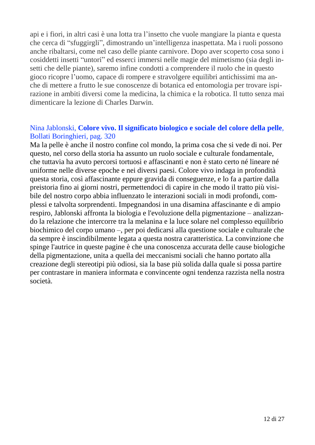api e i fiori, in altri casi è una lotta tra l'insetto che vuole mangiare la pianta e questa che cerca di "sfuggirgli", dimostrando un'intelligenza inaspettata. Ma i ruoli possono anche ribaltarsi, come nel caso delle piante carnivore. Dopo aver scoperto cosa sono i cosiddetti insetti "untori" ed esserci immersi nelle magie del mimetismo (sia degli insetti che delle piante), saremo infine condotti a comprendere il ruolo che in questo gioco ricopre l'uomo, capace di rompere e stravolgere equilibri antichissimi ma anche di mettere a frutto le sue conoscenze di botanica ed entomologia per trovare ispirazione in ambiti diversi come la medicina, la chimica e la robotica. Il tutto senza mai dimenticare la lezione di Charles Darwin.

## Nina Jablonski, **Colore vivo. Il significato biologico e sociale del colore della pelle**, Bollati Boringhieri, pag. 320

Ma la pelle è anche il nostro confine col mondo, la prima cosa che si vede di noi. Per questo, nel corso della storia ha assunto un ruolo sociale e culturale fondamentale, che tuttavia ha avuto percorsi tortuosi e affascinanti e non è stato certo né lineare né uniforme nelle diverse epoche e nei diversi paesi. Colore vivo indaga in profondità questa storia, così affascinante eppure gravida di conseguenze, e lo fa a partire dalla preistoria fino ai giorni nostri, permettendoci di capire in che modo il tratto più visibile del nostro corpo abbia influenzato le interazioni sociali in modi profondi, complessi e talvolta sorprendenti. Impegnandosi in una disamina affascinante e di ampio respiro, Jablonski affronta la biologia e l'evoluzione della pigmentazione – analizzando la relazione che intercorre tra la melanina e la luce solare nel complesso equilibrio biochimico del corpo umano –, per poi dedicarsi alla questione sociale e culturale che da sempre è inscindibilmente legata a questa nostra caratteristica. La convinzione che spinge l'autrice in queste pagine è che una conoscenza accurata delle cause biologiche della pigmentazione, unita a quella dei meccanismi sociali che hanno portato alla creazione degli stereotipi più odiosi, sia la base più solida dalla quale si possa partire per contrastare in maniera informata e convincente ogni tendenza razzista nella nostra società.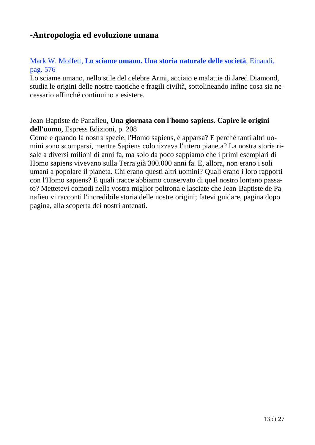# **-Antropologia ed evoluzione umana**

# Mark W. Moffett, **Lo sciame umano. Una storia naturale delle società**, Einaudi, pag. 576

Lo sciame umano, nello stile del celebre Armi, acciaio e malattie di Jared Diamond, studia le origini delle nostre caotiche e fragili civiltà, sottolineando infine cosa sia necessario affinché continuino a esistere.

# Jean-Baptiste de Panafieu, **Una giornata con l'homo sapiens. Capire le origini dell'uomo**, Espress Edizioni, p. 208

Come e quando la nostra specie, l'Homo sapiens, è apparsa? E perché tanti altri uomini sono scomparsi, mentre Sapiens colonizzava l'intero pianeta? La nostra storia risale a diversi milioni di anni fa, ma solo da poco sappiamo che i primi esemplari di Homo sapiens vivevano sulla Terra già 300.000 anni fa. E, allora, non erano i soli umani a popolare il pianeta. Chi erano questi altri uomini? Quali erano i loro rapporti con l'Homo sapiens? E quali tracce abbiamo conservato di quel nostro lontano passato? Mettetevi comodi nella vostra miglior poltrona e lasciate che Jean-Baptiste de Panafieu vi racconti l'incredibile storia delle nostre origini; fatevi guidare, pagina dopo pagina, alla scoperta dei nostri antenati.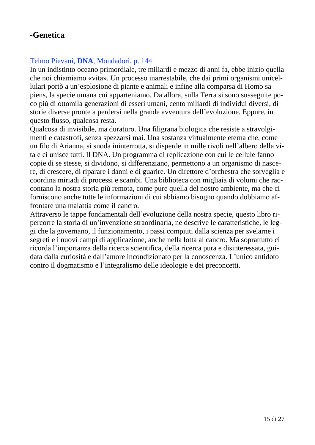# **-Genetica**

# Telmo Pievani, **DNA**, Mondadori, p. 144

In un indistinto oceano primordiale, tre miliardi e mezzo di anni fa, ebbe inizio quella che noi chiamiamo «vita». Un processo inarrestabile, che dai primi organismi unicellulari portò a un'esplosione di piante e animali e infine alla comparsa di Homo sapiens, la specie umana cui apparteniamo. Da allora, sulla Terra si sono susseguite poco più di ottomila generazioni di esseri umani, cento miliardi di individui diversi, di storie diverse pronte a perdersi nella grande avventura dell'evoluzione. Eppure, in questo flusso, qualcosa resta.

Qualcosa di invisibile, ma duraturo. Una filigrana biologica che resiste a stravolgimenti e catastrofi, senza spezzarsi mai. Una sostanza virtualmente eterna che, come un filo di Arianna, si snoda ininterrotta, si disperde in mille rivoli nell'albero della vita e ci unisce tutti. Il DNA. Un programma di replicazione con cui le cellule fanno copie di se stesse, si dividono, si differenziano, permettono a un organismo di nascere, di crescere, di riparare i danni e di guarire. Un direttore d'orchestra che sorveglia e coordina miriadi di processi e scambi. Una biblioteca con migliaia di volumi che raccontano la nostra storia più remota, come pure quella del nostro ambiente, ma che ci forniscono anche tutte le informazioni di cui abbiamo bisogno quando dobbiamo affrontare una malattia come il cancro.

Attraverso le tappe fondamentali dell'evoluzione della nostra specie, questo libro ripercorre la storia di un'invenzione straordinaria, ne descrive le caratteristiche, le leggi che la governano, il funzionamento, i passi compiuti dalla scienza per svelarne i segreti e i nuovi campi di applicazione, anche nella lotta al cancro. Ma soprattutto ci ricorda l'importanza della ricerca scientifica, della ricerca pura e disinteressata, guidata dalla curiosità e dall'amore incondizionato per la conoscenza. L'unico antidoto contro il dogmatismo e l'integralismo delle ideologie e dei preconcetti.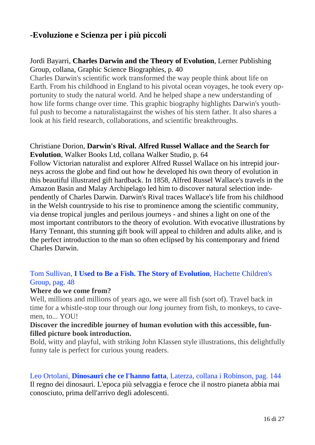# **-Evoluzione e Scienza per i più piccoli**

# Jordi Bayarri, **Charles Darwin and the Theory of Evolution**, Lerner Publishing Group, collana, Graphic Science Biographies, p. 40

Charles Darwin's scientific work transformed the way people think about life on Earth. From his childhood in England to his pivotal ocean voyages, he took every opportunity to study the natural world. And he helped shape a new understanding of how life forms change over time. This graphic biography highlights Darwin's youthful push to become a naturalistagainst the wishes of his stern father. It also shares a look at his field research, collaborations, and scientific breakthroughs.

#### Christiane Dorion, **Darwin's Rival. Alfred Russel Wallace and the Search for Evolution**, Walker Books Ltd, collana Walker Studio, p. 64

Follow Victorian naturalist and explorer Alfred Russel Wallace on his intrepid journeys across the globe and find out how he developed his own theory of evolution in this beautiful illustrated gift hardback. In 1858, Alfred Russel Wallace's travels in the Amazon Basin and Malay Archipelago led him to discover natural selection independently of Charles Darwin. Darwin's Rival traces Wallace's life from his childhood in the Welsh countryside to his rise to prominence among the scientific community, via dense tropical jungles and perilous journeys - and shines a light on one of the most important contributors to the theory of evolution. With evocative illustrations by Harry Tennant, this stunning gift book will appeal to children and adults alike, and is the perfect introduction to the man so often eclipsed by his contemporary and friend Charles Darwin.

# Tom Sullivan, **I Used to Be a Fish. The Story of Evolution**, Hachette Children's Group, pag. 48

## **Where do we come from?**

Well, millions and millions of years ago, we were all fish (sort of). Travel back in time for a whistle-stop tour through our *long* journey from fish, to monkeys, to cavemen, to... YOU!

## **Discover the incredible journey of human evolution with this accessible, funfilled picture book introduction.**

Bold, witty and playful, with striking John Klassen style illustrations, this delightfully funny tale is perfect for curious young readers.

# Leo Ortolani, **Dinosauri che ce l'hanno fatta**, Laterza, collana i Robinson, pag. 144

Il regno dei dinosauri. L'epoca più selvaggia e feroce che il nostro pianeta abbia mai conosciuto, prima dell'arrivo degli adolescenti.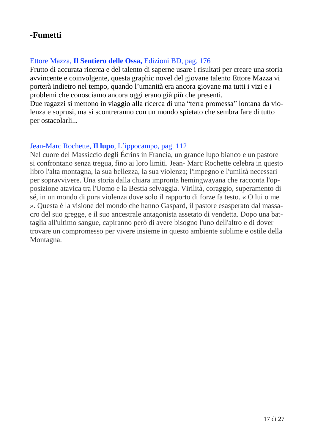# **-Fumetti**

# Ettore Mazza, **Il Sentiero delle Ossa,** Edizioni BD, pag. 176

Frutto di accurata ricerca e del talento di saperne usare i risultati per creare una storia avvincente e coinvolgente, questa graphic novel del giovane talento Ettore Mazza vi porterà indietro nel tempo, quando l'umanità era ancora giovane ma tutti i vizi e i problemi che conosciamo ancora oggi erano già più che presenti.

Due ragazzi si mettono in viaggio alla ricerca di una "terra promessa" lontana da violenza e soprusi, ma si scontreranno con un mondo spietato che sembra fare di tutto per ostacolarli...

# Jean-Marc Rochette, **Il lupo**, L'ippocampo, pag. 112

Nel cuore del Massiccio degli Écrins in Francia, un grande lupo bianco e un pastore si confrontano senza tregua, fino ai loro limiti. Jean- Marc Rochette celebra in questo libro l'alta montagna, la sua bellezza, la sua violenza; l'impegno e l'umiltà necessari per sopravvivere. Una storia dalla chiara impronta hemingwayana che racconta l'opposizione atavica tra l'Uomo e la Bestia selvaggia. Virilità, coraggio, superamento di sé, in un mondo di pura violenza dove solo il rapporto di forze fa testo. « O lui o me ». Questa è la visione del mondo che hanno Gaspard, il pastore esasperato dal massacro del suo gregge, e il suo ancestrale antagonista assetato di vendetta. Dopo una battaglia all'ultimo sangue, capiranno però di avere bisogno l'uno dell'altro e di dover trovare un compromesso per vivere insieme in questo ambiente sublime e ostile della Montagna.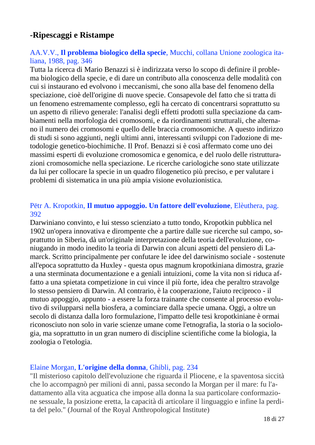# **-Ripescaggi e Ristampe**

# AA.V.V., **Il problema biologico della specie**, Mucchi, collana Unione zoologica italiana, 1988, pag. 346

Tutta la ricerca di Mario Benazzi si è indirizzata verso lo scopo di definire il problema biologico della specie, e di dare un contributo alla conoscenza delle modalità con cui si instaurano ed evolvono i meccanismi, che sono alla base del fenomeno della speciazione, cioè dell'origine di nuove specie. Consapevole del fatto che si tratta di un fenomeno estremamente complesso, egli ha cercato di concentrarsi soprattutto su un aspetto di rilievo generale: l'analisi degli effetti prodotti sulla speciazione da cambiamenti nella morfologia dei cromosomi, e da riordinamenti strutturali, che alternano il numero dei cromosomi e quello delle braccia cromosomiche. A questo indirizzo di studi si sono aggiunti, negli ultimi anni, interessanti sviluppi con l'adozione di metodologie genetico-biochimiche. Il Prof. Benazzi si è così affermato come uno dei massimi esperti di evoluzione cromosomica e genomica, e del ruolo delle ristrutturazioni cromosomiche nella speciazione. Le ricerche cariologiche sono state utilizzate da lui per collocare la specie in un quadro filogenetico più preciso, e per valutare i problemi di sistematica in una più ampia visione evoluzionistica.

## Pëtr A. Kropotkin, **Il mutuo appoggio. Un fattore dell'evoluzione**, Elèuthera, pag. 392

Darwiniano convinto, e lui stesso scienziato a tutto tondo, Kropotkin pubblica nel 1902 un'opera innovativa e dirompente che a partire dalle sue ricerche sul campo, soprattutto in Siberia, dà un'originale interpretazione della teoria dell'evoluzione, coniugando in modo inedito la teoria di Darwin con alcuni aspetti del pensiero di Lamarck. Scritto principalmente per confutare le idee del darwinismo sociale - sostenute all'epoca soprattutto da Huxley - questa opus magnum kropotkiniana dimostra, grazie a una sterminata documentazione e a geniali intuizioni, come la vita non si riduca affatto a una spietata competizione in cui vince il più forte, idea che peraltro stravolge lo stesso pensiero di Darwin. Al contrario, è la cooperazione, l'aiuto reciproco - il mutuo appoggio, appunto - a essere la forza trainante che consente al processo evolutivo di svilupparsi nella biosfera, a cominciare dalla specie umana. Oggi, a oltre un secolo di distanza dalla loro formulazione, l'impatto delle tesi kropotkiniane è ormai riconosciuto non solo in varie scienze umane come l'etnografia, la storia o la sociologia, ma soprattutto in un gran numero di discipline scientifiche come la biologia, la zoologia o l'etologia.

## Elaine Morgan, **L'origine della donna**, Ghibli, pag. 234

"Il misterioso capitolo dell'evoluzione che riguarda il Pliocene, e la spaventosa siccità che lo accompagnò per milioni di anni, passa secondo la Morgan per il mare: fu l'adattamento alla vita acguatica che impose alla donna la sua particolare conformazione sessuale, la posizione eretta, la capacità di articolare il linguaggio e infine la perdita del pelo." (Journal of the Royal Anthropological Institute)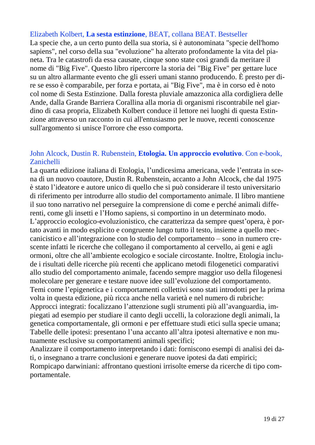### Elizabeth Kolbert, **La sesta estinzione**, BEAT, collana BEAT. Bestseller

La specie che, a un certo punto della sua storia, si è autonominata "specie dell'homo sapiens", nel corso della sua "evoluzione" ha alterato profondamente la vita del pianeta. Tra le catastrofi da essa causate, cinque sono state così grandi da meritare il nome di "Big Five". Questo libro ripercorre la storia dei "Big Five" per gettare luce su un altro allarmante evento che gli esseri umani stanno producendo. È presto per dire se esso è comparabile, per forza e portata, ai "Big Five", ma è in corso ed è noto col nome di Sesta Estinzione. Dalla foresta pluviale amazzonica alla cordigliera delle Ande, dalla Grande Barriera Corallina alla moria di organismi riscontrabile nel giardino di casa propria, Elizabeth Kolbert conduce il lettore nei luoghi di questa Estinzione attraverso un racconto in cui all'entusiasmo per le nuove, recenti conoscenze sull'argomento si unisce l'orrore che esso comporta.

## John Alcock, Dustin R. Rubenstein, **Etologia. Un approccio evolutivo**. Con e-book, Zanichelli

La quarta edizione italiana di Etologia, l'undicesima americana, vede l'entrata in scena di un nuovo coautore, Dustin R. Rubenstein, accanto a John Alcock, che dal 1975 è stato l'ideatore e autore unico di quello che si può considerare il testo universitario di riferimento per introdurre allo studio del comportamento animale. Il libro mantiene il suo tono narrativo nel perseguire la comprensione di come e perché animali differenti, come gli insetti e l'Homo sapiens, si comportino in un determinato modo. L'approccio ecologico-evoluzionistico, che caratterizza da sempre quest'opera, è portato avanti in modo esplicito e congruente lungo tutto il testo, insieme a quello meccanicistico e all'integrazione con lo studio del comportamento – sono in numero crescente infatti le ricerche che collegano il comportamento al cervello, ai geni e agli ormoni, oltre che all'ambiente ecologico e sociale circostante. Inoltre, Etologia include i risultati delle ricerche più recenti che applicano metodi filogenetici comparativi allo studio del comportamento animale, facendo sempre maggior uso della filogenesi molecolare per generare e testare nuove idee sull'evoluzione del comportamento. Temi come l'epigenetica e i comportamenti collettivi sono stati introdotti per la prima volta in questa edizione, più ricca anche nella varietà e nel numero di rubriche: Approcci integrati: focalizzano l'attenzione sugli strumenti più all'avanguardia, impiegati ad esempio per studiare il canto degli uccelli, la colorazione degli animali, la genetica comportamentale, gli ormoni e per effettuare studi etici sulla specie umana; Tabelle delle ipotesi: presentano l'una accanto all'altra ipotesi alternative e non mutuamente esclusive su comportamenti animali specifici;

Analizzare il comportamento interpretando i dati: forniscono esempi di analisi dei dati, o insegnano a trarre conclusioni e generare nuove ipotesi da dati empirici; Rompicapo darwiniani: affrontano questioni irrisolte emerse da ricerche di tipo comportamentale.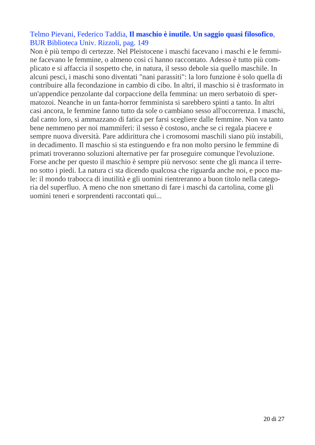# Telmo Pievani, Federico Taddia, **Il maschio è inutile. Un saggio quasi filosofico**, BUR Biblioteca Univ. Rizzoli, pag. 149

Non è più tempo di certezze. Nel Pleistocene i maschi facevano i maschi e le femmine facevano le femmine, o almeno così ci hanno raccontato. Adesso è tutto più complicato e si affaccia il sospetto che, in natura, il sesso debole sia quello maschile. In alcuni pesci, i maschi sono diventati "nani parassiti": la loro funzione è solo quella di contribuire alla fecondazione in cambio di cibo. In altri, il maschio si è trasformato in un'appendice penzolante dal corpaccione della femmina: un mero serbatoio di spermatozoi. Neanche in un fanta-horror femminista si sarebbero spinti a tanto. In altri casi ancora, le femmine fanno tutto da sole o cambiano sesso all'occorrenza. I maschi, dal canto loro, si ammazzano di fatica per farsi scegliere dalle femmine. Non va tanto bene nemmeno per noi mammiferi: il sesso è costoso, anche se ci regala piacere e sempre nuova diversità. Pare addirittura che i cromosomi maschili siano più instabili, in decadimento. Il maschio si sta estinguendo e fra non molto persino le femmine di primati troveranno soluzioni alternative per far proseguire comunque l'evoluzione. Forse anche per questo il maschio è sempre più nervoso: sente che gli manca il terreno sotto i piedi. La natura ci sta dicendo qualcosa che riguarda anche noi, e poco male: il mondo trabocca di inutilità e gli uomini rientreranno a buon titolo nella categoria del superfluo. A meno che non smettano di fare i maschi da cartolina, come gli uomini teneri e sorprendenti raccontati qui...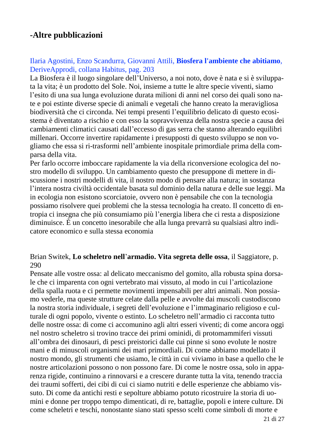# **-Altre pubblicazioni**

# Ilaria Agostini, Enzo Scandurra, Giovanni Attili, **Biosfera l'ambiente che abitiamo**, DeriveApprodi, collana Habitus, pag. 203

La Biosfera è il luogo singolare dell'Universo, a noi noto, dove è nata e si è sviluppata la vita; è un prodotto del Sole. Noi, insieme a tutte le altre specie viventi, siamo l'esito di una sua lunga evoluzione durata milioni di anni nel corso dei quali sono nate e poi estinte diverse specie di animali e vegetali che hanno creato la meravigliosa biodiversità che ci circonda. Nei tempi presenti l'equilibrio delicato di questo ecosistema è diventato a rischio e con esso la sopravvivenza della nostra specie a causa dei cambiamenti climatici causati dall'eccesso di gas serra che stanno alterando equilibri millenari. Occorre invertire rapidamente i presupposti di questo sviluppo se non vogliamo che essa si ri-trasformi nell'ambiente inospitale primordiale prima della comparsa della vita.

Per farlo occorre imboccare rapidamente la via della riconversione ecologica del nostro modello di sviluppo. Un cambiamento questo che presuppone di mettere in discussione i nostri modelli di vita, il nostro modo di pensare alla natura; in sostanza l'intera nostra civiltà occidentale basata sul dominio della natura e delle sue leggi. Ma in ecologia non esistono scorciatoie, ovvero non è pensabile che con la tecnologia possiamo risolvere quei problemi che la stessa tecnologia ha creato. Il concetto di entropia ci insegna che più consumiamo più l'energia libera che ci resta a disposizione diminuisce. È un concetto inesorabile che alla lunga prevarrà su qualsiasi altro indicatore economico e sulla stessa economia

#### Brian Switek, **Lo scheletro nell**'**armadio. Vita segreta delle ossa**, il Saggiatore, p. 290

Pensate alle vostre ossa: al delicato meccanismo del gomito, alla robusta spina dorsale che ci imparenta con ogni vertebrato mai vissuto, al modo in cui l'articolazione della spalla ruota e ci permette movimenti impensabili per altri animali. Non possiamo vederle, ma queste strutture celate dalla pelle e avvolte dai muscoli custodiscono la nostra storia individuale, i segreti dell'evoluzione e l'immaginario religioso e culturale di ogni popolo, vivente o estinto. Lo scheletro nell'armadio ci racconta tutto delle nostre ossa: di come ci accomunino agli altri esseri viventi; di come ancora oggi nel nostro scheletro si trovino tracce dei primi ominidi, di protomammiferi vissuti all'ombra dei dinosauri, di pesci preistorici dalle cui pinne si sono evolute le nostre mani e di minuscoli organismi dei mari primordiali. Di come abbiamo modellato il nostro mondo, gli strumenti che usiamo, le città in cui viviamo in base a quello che le nostre articolazioni possono o non possono fare. Di come le nostre ossa, solo in apparenza rigide, continuino a rinnovarsi e a crescere durante tutta la vita, tenendo traccia dei traumi sofferti, dei cibi di cui ci siamo nutriti e delle esperienze che abbiamo vissuto. Di come da antichi resti e sepolture abbiamo potuto ricostruire la storia di uomini e donne per troppo tempo dimenticati, di re, battaglie, popoli e intere culture. Di come scheletri e teschi, nonostante siano stati spesso scelti come simboli di morte e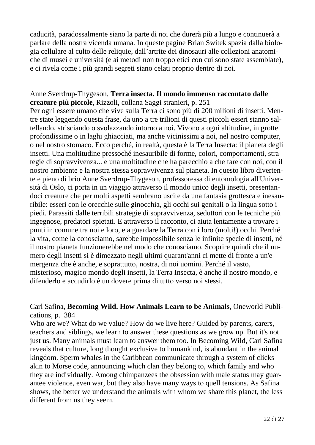caducità, paradossalmente siano la parte di noi che durerà più a lungo e continuerà a parlare della nostra vicenda umana. In queste pagine Brian Switek spazia dalla biologia cellulare al culto delle reliquie, dall'artrite dei dinosauri alle collezioni anatomiche di musei e università (e ai metodi non troppo etici con cui sono state assemblate), e ci rivela come i più grandi segreti siano celati proprio dentro di noi.

### Anne Sverdrup-Thygeson, **Terra insecta. Il mondo immenso raccontato dalle creature più piccole**, Rizzoli, collana Saggi stranieri, p. 251

Per ogni essere umano che vive sulla Terra ci sono più di 200 milioni di insetti. Mentre state leggendo questa frase, da uno a tre trilioni di questi piccoli esseri stanno saltellando, strisciando o svolazzando intorno a noi. Vivono a ogni altitudine, in grotte profondissime o in laghi ghiacciati, ma anche vicinissimi a noi, nel nostro computer, o nel nostro stomaco. Ecco perché, in realtà, questa è la Terra Insecta: il pianeta degli insetti. Una moltitudine pressoché inesauribile di forme, colori, comportamenti, strategie di sopravvivenza... e una moltitudine che ha parecchio a che fare con noi, con il nostro ambiente e la nostra stessa sopravvivenza sul pianeta. In questo libro divertente e pieno di brio Anne Sverdrup-Thygeson, professoressa di entomologia all'Università di Oslo, ci porta in un viaggio attraverso il mondo unico degli insetti, presentandoci creature che per molti aspetti sembrano uscite da una fantasia grottesca e inesauribile: esseri con le orecchie sulle ginocchia, gli occhi sui genitali o la lingua sotto i piedi. Parassiti dalle terribili strategie di sopravvivenza, seduttori con le tecniche più ingegnose, predatori spietati. E attraverso il racconto, ci aiuta lentamente a trovare i punti in comune tra noi e loro, e a guardare la Terra con i loro (molti!) occhi. Perché la vita, come la conosciamo, sarebbe impossibile senza le infinite specie di insetti, né il nostro pianeta funzionerebbe nel modo che conosciamo. Scoprire quindi che il numero degli insetti si è dimezzato negli ultimi quarant'anni ci mette di fronte a un'emergenza che è anche, e soprattutto, nostra, di noi uomini. Perché il vasto, misterioso, magico mondo degli insetti, la Terra Insecta, è anche il nostro mondo, e difenderlo e accudirlo è un dovere prima di tutto verso noi stessi.

## Carl Safina, **Becoming Wild. How Animals Learn to be Animals**, Oneworld Publications, p. 384

Who are we? What do we value? How do we live here? Guided by parents, carers, teachers and siblings, we learn to answer these questions as we grow up. But it's not just us. Many animals must learn to answer them too. In Becoming Wild, Carl Safina reveals that culture, long thought exclusive to humankind, is abundant in the animal kingdom. Sperm whales in the Caribbean communicate through a system of clicks akin to Morse code, announcing which clan they belong to, which family and who they are individually. Among chimpanzees the obsession with male status may guarantee violence, even war, but they also have many ways to quell tensions. As Safina shows, the better we understand the animals with whom we share this planet, the less different from us they seem.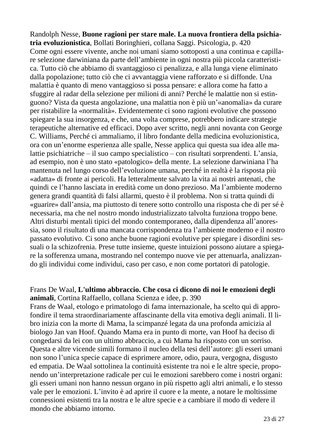Randolph Nesse, **Buone ragioni per stare male. La nuova frontiera della psichiatria evoluzionistica**, Bollati Boringhieri, collana Saggi. Psicologia, p. 420 Come ogni essere vivente, anche noi umani siamo sottoposti a una continua e capillare selezione darwiniana da parte dell'ambiente in ogni nostra più piccola caratteristica. Tutto ciò che abbiamo di svantaggioso ci penalizza, e alla lunga viene eliminato dalla popolazione; tutto ciò che ci avvantaggia viene rafforzato e si diffonde. Una malattia è quanto di meno vantaggioso si possa pensare: e allora come ha fatto a sfuggire al radar della selezione per milioni di anni? Perché le malattie non si estinguono? Vista da questa angolazione, una malattia non è più un'«anomalia» da curare per ristabilire la «normalità». Evidentemente ci sono ragioni evolutive che possono spiegare la sua insorgenza, e che, una volta comprese, potrebbero indicare strategie terapeutiche alternative ed efficaci. Dopo aver scritto, negli anni novanta con George C. Williams, Perché ci ammaliamo, il libro fondante della medicina evoluzionistica, ora con un'enorme esperienza alle spalle, Nesse applica qui questa sua idea alle malattie psichiatriche – il suo campo specialistico – con risultati sorprendenti. L'ansia, ad esempio, non è uno stato «patologico» della mente. La selezione darwiniana l'ha mantenuta nel lungo corso dell'evoluzione umana, perché in realtà è la risposta più «adatta» di fronte ai pericoli. Ha letteralmente salvato la vita ai nostri antenati, che quindi ce l'hanno lasciata in eredità come un dono prezioso. Ma l'ambiente moderno genera grandi quantità di falsi allarmi, questo è il problema. Non si tratta quindi di «guarire» dall'ansia, ma piuttosto di tenere sotto controllo una risposta che di per sé è necessaria, ma che nel nostro mondo industrializzato talvolta funziona troppo bene. Altri disturbi mentali tipici del mondo contemporaneo, dalla dipendenza all'anoressia, sono il risultato di una mancata corrispondenza tra l'ambiente moderno e il nostro passato evolutivo. Ci sono anche buone ragioni evolutive per spiegare i disordini sessuali o la schizofrenia. Prese tutte insieme, queste intuizioni possono aiutare a spiegare la sofferenza umana, mostrando nel contempo nuove vie per attenuarla, analizzando gli individui come individui, caso per caso, e non come portatori di patologie.

#### Frans De Waal, **L'ultimo abbraccio. Che cosa ci dicono di noi le emozioni degli animali**, Cortina Raffaello, collana Scienza e idee, p. 390

Frans de Waal, etologo e primatologo di fama internazionale, ha scelto qui di approfondire il tema straordinariamente affascinante della vita emotiva degli animali. Il libro inizia con la morte di Mama, la scimpanzé legata da una profonda amicizia al biologo Jan van Hoof. Quando Mama era in punto di morte, van Hoof ha deciso di congedarsi da lei con un ultimo abbraccio, a cui Mama ha risposto con un sorriso. Questa e altre vicende simili formano il nucleo della tesi dell'autore: gli esseri umani non sono l'unica specie capace di esprimere amore, odio, paura, vergogna, disgusto ed empatia. De Waal sottolinea la continuità esistente tra noi e le altre specie, proponendo un'interpretazione radicale per cui le emozioni sarebbero come i nostri organi: gli esseri umani non hanno nessun organo in più rispetto agli altri animali, e lo stesso vale per le emozioni. L'invito è ad aprire il cuore e la mente, a notare le moltissime connessioni esistenti tra la nostra e le altre specie e a cambiare il modo di vedere il mondo che abbiamo intorno.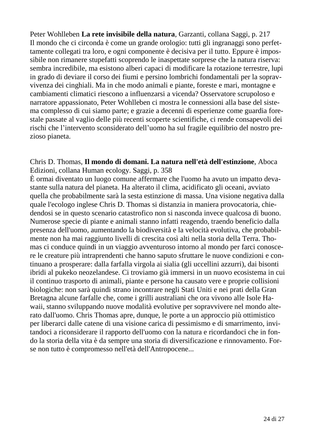Peter Wohlleben **La rete invisibile della natura**, Garzanti, collana Saggi, p. 217 Il mondo che ci circonda è come un grande orologio: tutti gli ingranaggi sono perfettamente collegati tra loro, e ogni componente è decisiva per il tutto. Eppure è impossibile non rimanere stupefatti scoprendo le inaspettate sorprese che la natura riserva: sembra incredibile, ma esistono alberi capaci di modificare la rotazione terrestre, lupi in grado di deviare il corso dei fiumi e persino lombrichi fondamentali per la sopravvivenza dei cinghiali. Ma in che modo animali e piante, foreste e mari, montagne e cambiamenti climatici riescono a influenzarsi a vicenda? Osservatore scrupoloso e narratore appassionato, Peter Wohlleben ci mostra le connessioni alla base del sistema complesso di cui siamo parte; e grazie a decenni di esperienze come guardia forestale passate al vaglio delle più recenti scoperte scientifiche, ci rende consapevoli dei rischi che l'intervento sconsiderato dell'uomo ha sul fragile equilibrio del nostro prezioso pianeta.

#### Chris D. Thomas, **Il mondo di domani. La natura nell'età dell'estinzione**, Aboca Edizioni, collana Human ecology. Saggi, p. 358

È ormai diventato un luogo comune affermare che l'uomo ha avuto un impatto devastante sulla natura del pianeta. Ha alterato il clima, acidificato gli oceani, avviato quella che probabilmente sarà la sesta estinzione di massa. Una visione negativa dalla quale l'ecologo inglese Chris D. Thomas si distanzia in maniera provocatoria, chiedendosi se in questo scenario catastrofico non si nasconda invece qualcosa di buono. Numerose specie di piante e animali stanno infatti reagendo, traendo beneficio dalla presenza dell'uomo, aumentando la biodiversità e la velocità evolutiva, che probabilmente non ha mai raggiunto livelli di crescita così alti nella storia della Terra. Thomas ci conduce quindi in un viaggio avventuroso intorno al mondo per farci conoscere le creature più intraprendenti che hanno saputo sfruttare le nuove condizioni e continuano a prosperare: dalla farfalla virgola ai sialia (gli uccellini azzurri), dai bisonti ibridi al pukeko neozelandese. Ci troviamo già immersi in un nuovo ecosistema in cui il continuo trasporto di animali, piante e persone ha causato vere e proprie collisioni biologiche: non sarà quindi strano incontrare negli Stati Uniti e nei prati della Gran Bretagna alcune farfalle che, come i grilli australiani che ora vivono alle Isole Hawaii, stanno sviluppando nuove modalità evolutive per sopravvivere nel mondo alterato dall'uomo. Chris Thomas apre, dunque, le porte a un approccio più ottimistico per liberarci dalle catene di una visione carica di pessimismo e di smarrimento, invitandoci a riconsiderare il rapporto dell'uomo con la natura e ricordandoci che in fondo la storia della vita è da sempre una storia di diversificazione e rinnovamento. Forse non tutto è compromesso nell'età dell'Antropocene...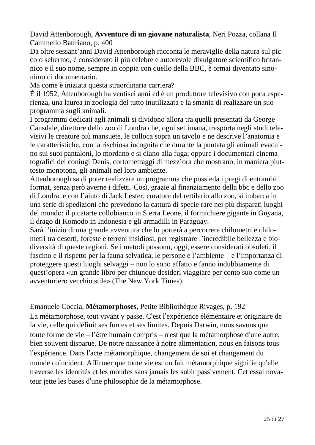David Attenborough, **Avventure di un giovane naturalista**, Neri Pozza, collana Il Cammello Battriano, p. 400

Da oltre sessant'anni David Attenborough racconta le meraviglie della natura sul piccolo schermo, è considerato il più celebre e autorevole divulgatore scientifico britannico e il suo nome, sempre in coppia con quello della BBC, è ormai diventato sinonimo di documentario.

Ma come è iniziata questa straordinaria carriera?

È il 1952, Attenborough ha ventisei anni ed è un produttore televisivo con poca esperienza, una laurea in zoologia del tutto inutilizzata e la smania di realizzare un suo programma sugli animali.

I programmi dedicati agli animali si dividono allora tra quelli presentati da George Cansdale, direttore dello zoo di Londra che, ogni settimana, trasporta negli studi televisivi le creature più mansuete, le colloca sopra un tavolo e ne descrive l'anatomia e le caratteristiche, con la rischiosa incognita che durante la puntata gli animali evacuino sui suoi pantaloni, lo mordano e si diano alla fuga; oppure i documentari cinematografici dei coniugi Denis, cortometraggi di mezz'ora che mostrano, in maniera piuttosto monotona, gli animali nel loro ambiente.

Attenborough sa di poter realizzare un programma che possieda i pregi di entrambi i format, senza però averne i difetti. Così, grazie al finanziamento della bbc e dello zoo di Londra, e con l'aiuto di Jack Lester, curatore del rettilario allo zoo, si imbarca in una serie di spedizioni che prevedono la cattura di specie rare nei più disparati luoghi del mondo: il picatarte collobianco in Sierra Leone, il formichiere gigante in Guyana, il drago di Komodo in Indonesia e gli armadilli in Paraguay.

Sarà l'inizio di una grande avventura che lo porterà a percorrere chilometri e chilometri tra deserti, foreste e terreni insidiosi, per registrare l'incredibile bellezza e biodiversità di queste regioni. Se i metodi possono, oggi, essere considerati obsoleti, il fascino e il rispetto per la fauna selvatica, le persone e l'ambiente – e l'importanza di proteggere questi luoghi selvaggi – non lo sono affatto e fanno indubbiamente di quest'opera «un grande libro per chiunque desideri viaggiare per conto suo come un avventuriero vecchio stile» (The New York Times).

Emanuele Coccia, **Métamorphoses**, Petite Bibliothèque Rivages, p. 192 La métamorphose, tout vivant y passe. C'est l'expérience élémentaire et originaire de la vie, celle qui définit ses forces et ses limites. Depuis Darwin, nous savons que toute forme de vie – l'être humain compris – n'est que la métamorphose d'une autre, bien souvent disparue. De notre naissance à notre alimentation, nous en faisons tous l'expérience. Dans l'acte métamorphique, changement de soi et changement du monde coïncident. Affirmer que toute vie est un fait métamorphique signifie qu'elle traverse les identités et les mondes sans jamais les subir passivement. Cet essai novateur jette les bases d'une philosophie de la métamorphose.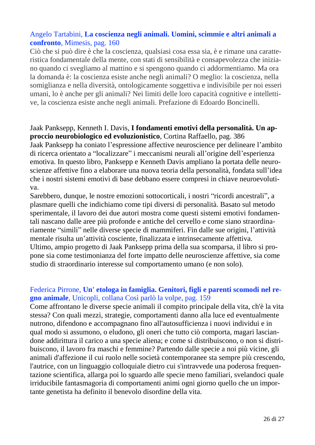# Angelo Tartabini, **La coscienza negli animali. Uomini, scimmie e altri animali a confronto**, Mimesis, pag. 160

Ciò che si può dire è che la coscienza, qualsiasi cosa essa sia, è e rimane una caratteristica fondamentale della mente, con stati di sensibilità e consapevolezza che iniziano quando ci svegliamo al mattino e si spengono quando ci addormentiamo. Ma ora la domanda è: la coscienza esiste anche negli animali? O meglio: la coscienza, nella somiglianza e nella diversità, ontologicamente soggettiva e indivisibile per noi esseri umani, lo è anche per gli animali? Nei limiti delle loro capacità cognitive e intellettive, la coscienza esiste anche negli animali. Prefazione di Edoardo Boncinelli.

#### Jaak Panksepp, Kenneth I. Davis, **I fondamenti emotivi della personalità. Un approccio neurobiologico ed evoluzionistico**, Cortina Raffaello, pag. 386

Jaak Panksepp ha coniato l'espressione affective neuroscience per delineare l'ambito di ricerca orientato a "localizzare" i meccanismi neurali all'origine dell'esperienza emotiva. In questo libro, Panksepp e Kenneth Davis ampliano la portata delle neuroscienze affettive fino a elaborare una nuova teoria della personalità, fondata sull'idea che i nostri sistemi emotivi di base debbano essere compresi in chiave neuroevolutiva.

Sarebbero, dunque, le nostre emozioni sottocorticali, i nostri "ricordi ancestrali", a plasmare quelli che indichiamo come tipi diversi di personalità. Basato sul metodo sperimentale, il lavoro dei due autori mostra come questi sistemi emotivi fondamentali nascano dalle aree più profonde e antiche del cervello e come siano straordinariamente "simili" nelle diverse specie di mammiferi. Fin dalle sue origini, l'attività mentale risulta un'attività cosciente, finalizzata e intrinsecamente affettiva. Ultimo, ampio progetto di Jaak Panksepp prima della sua scomparsa, il libro si propone sia come testimonianza del forte impatto delle neuroscienze affettive, sia come studio di straordinario interesse sul comportamento umano (e non solo).

# Federica Pirrone, **Un' etologa in famiglia. Genitori, figli e parenti scomodi nel regno animale**, Unicopli, collana Così parlò la volpe, pag. 159

Come affrontano le diverse specie animali il compito principale della vita, ch'è la vita stessa? Con quali mezzi, strategie, comportamenti danno alla luce ed eventualmente nutrono, difendono e accompagnano fino all'autosufficienza i nuovi individui e in qual modo si assumono, o eludono, gli oneri che tutto ciò comporta, magari lasciandone addirittura il carico a una specie aliena; e come si distribuiscono, o non si distribuiscono, il lavoro fra maschi e femmine? Partendo dalle specie a noi più vicine, gli animali d'affezione il cui ruolo nelle società contemporanee sta sempre più crescendo, l'autrice, con un linguaggio colloquiale dietro cui s'intravvede una poderosa frequentazione scientifica, allarga poi lo sguardo alle specie meno familiari, svelandoci quale irriducibile fantasmagoria di comportamenti animi ogni giorno quello che un importante genetista ha definito il benevolo disordine della vita.